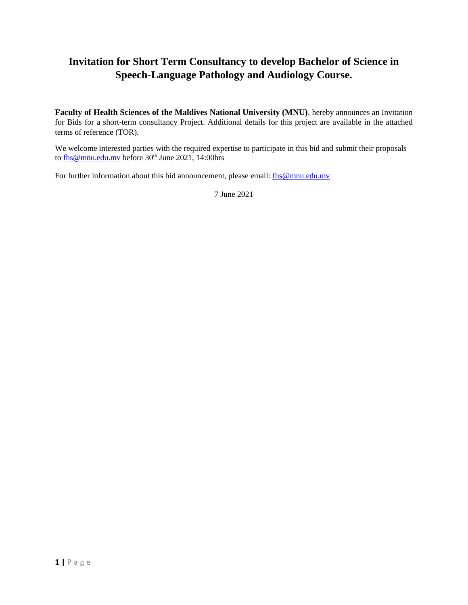# **Invitation for Short Term Consultancy to develop Bachelor of Science in Speech-Language Pathology and Audiology Course.**

**Faculty of Health Sciences of the Maldives National University (MNU)**, hereby announces an Invitation for Bids for a short-term consultancy Project. Additional details for this project are available in the attached terms of reference (TOR).

We welcome interested parties with the required expertise to participate in this bid and submit their proposals to  $\frac{f_{\text{hs}}\omega_{\text{mmu.edu.mv}}}{f_{\text{hs}}\omega_{\text{mmu.edu.mv}}}$  before 30<sup>th</sup> June 2021, 14:00hrs

For further information about this bid announcement, please email: [fhs@mnu.edu.mv](mailto:fhs@mnu.edu.mv)

7 June 2021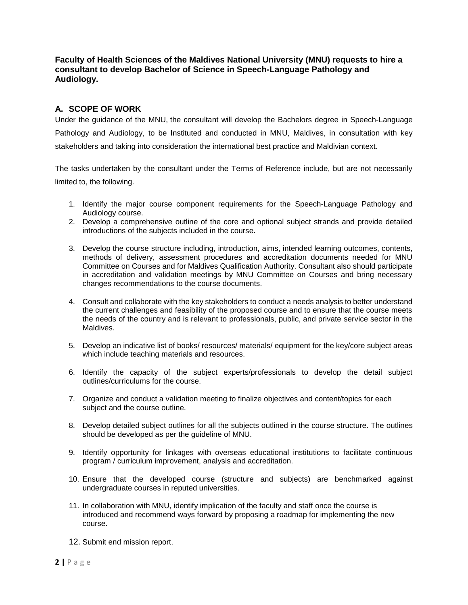**Faculty of Health Sciences of the Maldives National University (MNU) requests to hire a consultant to develop Bachelor of Science in Speech-Language Pathology and Audiology.**

# **A. SCOPE OF WORK**

Under the guidance of the MNU, the consultant will develop the Bachelors degree in Speech-Language Pathology and Audiology, to be Instituted and conducted in MNU, Maldives, in consultation with key stakeholders and taking into consideration the international best practice and Maldivian context.

The tasks undertaken by the consultant under the Terms of Reference include, but are not necessarily limited to, the following.

- 1. Identify the major course component requirements for the Speech-Language Pathology and Audiology course.
- 2. Develop a comprehensive outline of the core and optional subject strands and provide detailed introductions of the subjects included in the course.
- 3. Develop the course structure including, introduction, aims, intended learning outcomes, contents, methods of delivery, assessment procedures and accreditation documents needed for MNU Committee on Courses and for Maldives Qualification Authority. Consultant also should participate in accreditation and validation meetings by MNU Committee on Courses and bring necessary changes recommendations to the course documents.
- 4. Consult and collaborate with the key stakeholders to conduct a needs analysis to better understand the current challenges and feasibility of the proposed course and to ensure that the course meets the needs of the country and is relevant to professionals, public, and private service sector in the Maldives.
- 5. Develop an indicative list of books/ resources/ materials/ equipment for the key/core subject areas which include teaching materials and resources.
- 6. Identify the capacity of the subject experts/professionals to develop the detail subject outlines/curriculums for the course.
- 7. Organize and conduct a validation meeting to finalize objectives and content/topics for each subject and the course outline.
- 8. Develop detailed subject outlines for all the subjects outlined in the course structure. The outlines should be developed as per the guideline of MNU.
- 9. Identify opportunity for linkages with overseas educational institutions to facilitate continuous program / curriculum improvement, analysis and accreditation.
- 10. Ensure that the developed course (structure and subjects) are benchmarked against undergraduate courses in reputed universities.
- 11. In collaboration with MNU, identify implication of the faculty and staff once the course is introduced and recommend ways forward by proposing a roadmap for implementing the new course.
- 12. Submit end mission report.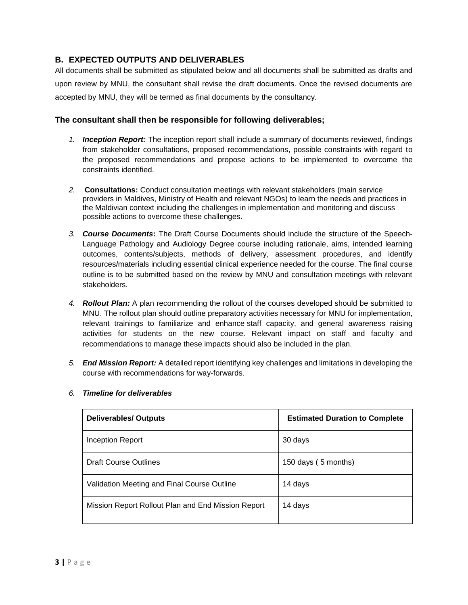# **B. EXPECTED OUTPUTS AND DELIVERABLES**

All documents shall be submitted as stipulated below and all documents shall be submitted as drafts and upon review by MNU, the consultant shall revise the draft documents. Once the revised documents are accepted by MNU, they will be termed as final documents by the consultancy.

### **The consultant shall then be responsible for following deliverables;**

- *1. Inception Report:* The inception report shall include a summary of documents reviewed, findings from stakeholder consultations, proposed recommendations, possible constraints with regard to the proposed recommendations and propose actions to be implemented to overcome the constraints identified.
- *2.* **Consultations:** Conduct consultation meetings with relevant stakeholders (main service providers in Maldives, Ministry of Health and relevant NGOs) to learn the needs and practices in the Maldivian context including the challenges in implementation and monitoring and discuss possible actions to overcome these challenges.
- *3. Course Documents***:** The Draft Course Documents should include the structure of the Speech-Language Pathology and Audiology Degree course including rationale, aims, intended learning outcomes, contents/subjects, methods of delivery, assessment procedures, and identify resources/materials including essential clinical experience needed for the course. The final course outline is to be submitted based on the review by MNU and consultation meetings with relevant stakeholders.
- *4. Rollout Plan:* A plan recommending the rollout of the courses developed should be submitted to MNU. The rollout plan should outline preparatory activities necessary for MNU for implementation, relevant trainings to familiarize and enhance staff capacity, and general awareness raising activities for students on the new course. Relevant impact on staff and faculty and recommendations to manage these impacts should also be included in the plan.
- *5. End Mission Report:* A detailed report identifying key challenges and limitations in developing the course with recommendations for way-forwards.

| <b>Deliverables/ Outputs</b>                       | <b>Estimated Duration to Complete</b> |
|----------------------------------------------------|---------------------------------------|
| Inception Report                                   | 30 days                               |
| <b>Draft Course Outlines</b>                       | 150 days (5 months)                   |
| Validation Meeting and Final Course Outline        | 14 days                               |
| Mission Report Rollout Plan and End Mission Report | 14 days                               |

#### *6. Timeline for deliverables*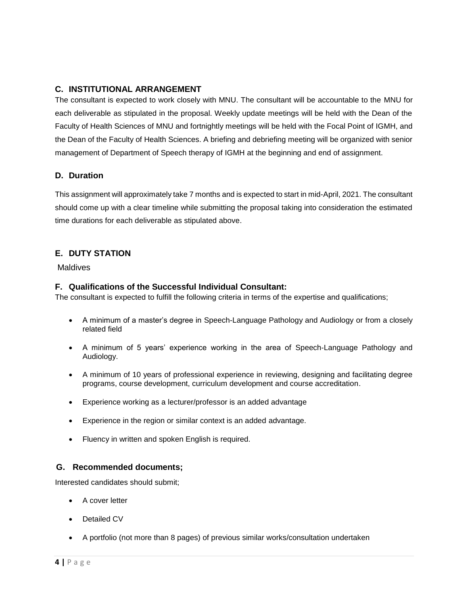# **C. INSTITUTIONAL ARRANGEMENT**

The consultant is expected to work closely with MNU. The consultant will be accountable to the MNU for each deliverable as stipulated in the proposal. Weekly update meetings will be held with the Dean of the Faculty of Health Sciences of MNU and fortnightly meetings will be held with the Focal Point of IGMH, and the Dean of the Faculty of Health Sciences. A briefing and debriefing meeting will be organized with senior management of Department of Speech therapy of IGMH at the beginning and end of assignment.

### **D. Duration**

This assignment will approximately take 7 months and is expected to start in mid-April, 2021. The consultant should come up with a clear timeline while submitting the proposal taking into consideration the estimated time durations for each deliverable as stipulated above.

# **E. DUTY STATION**

**Maldives** 

### **F. Qualifications of the Successful Individual Consultant:**

The consultant is expected to fulfill the following criteria in terms of the expertise and qualifications;

- A minimum of a master's degree in Speech-Language Pathology and Audiology or from a closely related field
- A minimum of 5 years' experience working in the area of Speech-Language Pathology and Audiology.
- A minimum of 10 years of professional experience in reviewing, designing and facilitating degree programs, course development, curriculum development and course accreditation.
- Experience working as a lecturer/professor is an added advantage
- Experience in the region or similar context is an added advantage.
- Fluency in written and spoken English is required.

# **G. Recommended documents;**

Interested candidates should submit;

- A cover letter
- Detailed CV
- A portfolio (not more than 8 pages) of previous similar works/consultation undertaken